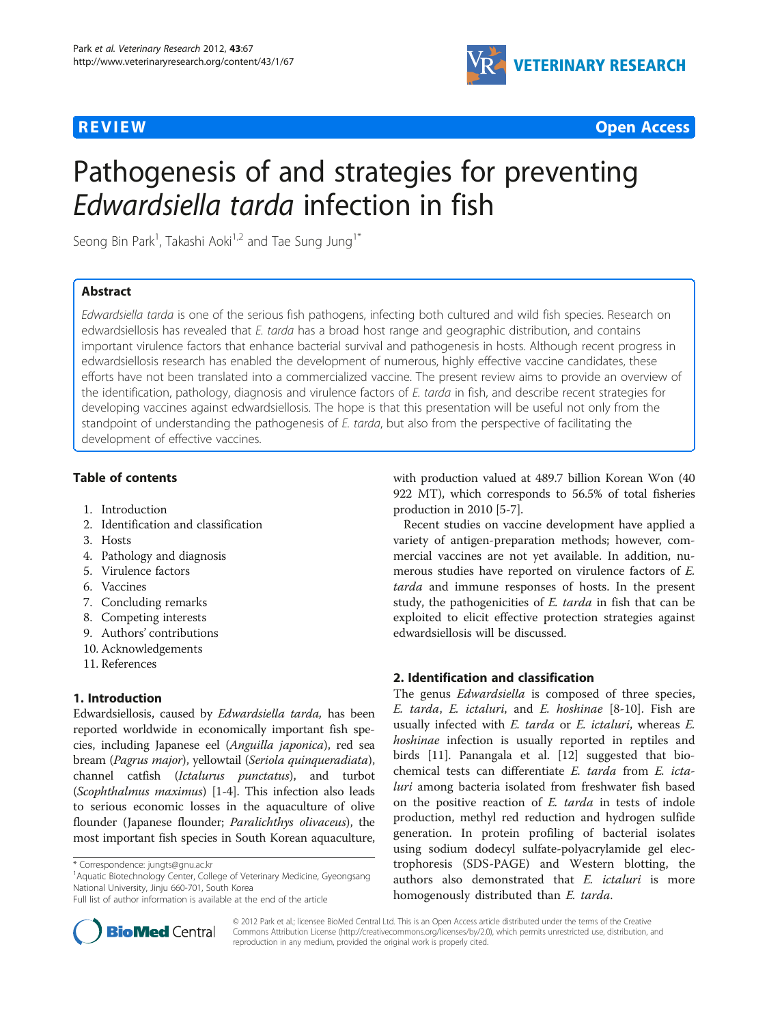

# Pathogenesis of and strategies for preventing Edwardsiella tarda infection in fish

Seong Bin Park<sup>1</sup>, Takashi Aoki<sup>1,2</sup> and Tae Sung Jung<sup>1\*</sup>

# Abstract

Edwardsiella tarda is one of the serious fish pathogens, infecting both cultured and wild fish species. Research on edwardsiellosis has revealed that E. tarda has a broad host range and geographic distribution, and contains important virulence factors that enhance bacterial survival and pathogenesis in hosts. Although recent progress in edwardsiellosis research has enabled the development of numerous, highly effective vaccine candidates, these efforts have not been translated into a commercialized vaccine. The present review aims to provide an overview of the identification, pathology, diagnosis and virulence factors of E. tarda in fish, and describe recent strategies for developing vaccines against edwardsiellosis. The hope is that this presentation will be useful not only from the standpoint of understanding the pathogenesis of E. tarda, but also from the perspective of facilitating the development of effective vaccines.

# Table of contents

- 1. Introduction
- 2. Identification and classification
- 3. Hosts
- 4. Pathology and diagnosis
- 5. Virulence factors
- 6. Vaccines
- 7. Concluding remarks
- 8. Competing interests
- 9. Authors' contributions
- 10. Acknowledgements
- 11. References

# 1. Introduction

Edwardsiellosis, caused by Edwardsiella tarda, has been reported worldwide in economically important fish species, including Japanese eel (Anguilla japonica), red sea bream (Pagrus major), yellowtail (Seriola quinqueradiata), channel catfish (Ictalurus punctatus), and turbot (Scophthalmus maximus) [\[1](#page-7-0)-[4](#page-7-0)]. This infection also leads to serious economic losses in the aquaculture of olive flounder (Japanese flounder; Paralichthys olivaceus), the most important fish species in South Korean aquaculture,



Recent studies on vaccine development have applied a variety of antigen-preparation methods; however, commercial vaccines are not yet available. In addition, numerous studies have reported on virulence factors of E. tarda and immune responses of hosts. In the present study, the pathogenicities of E. tarda in fish that can be exploited to elicit effective protection strategies against edwardsiellosis will be discussed.

# 2. Identification and classification

The genus Edwardsiella is composed of three species, E. tarda, E. ictaluri, and E. hoshinae [\[8](#page-7-0)-[10\]](#page-7-0). Fish are usually infected with E. tarda or E. ictaluri, whereas E. hoshinae infection is usually reported in reptiles and birds [\[11](#page-7-0)]. Panangala et al. [\[12](#page-7-0)] suggested that biochemical tests can differentiate E. tarda from E. ictaluri among bacteria isolated from freshwater fish based on the positive reaction of E. tarda in tests of indole production, methyl red reduction and hydrogen sulfide generation. In protein profiling of bacterial isolates using sodium dodecyl sulfate-polyacrylamide gel electrophoresis (SDS-PAGE) and Western blotting, the authors also demonstrated that E. ictaluri is more homogenously distributed than E. tarda.



© 2012 Park et al.; licensee BioMed Central Ltd. This is an Open Access article distributed under the terms of the Creative Commons Attribution License [\(http://creativecommons.org/licenses/by/2.0\)](http://creativecommons.org/licenses/by/2.0), which permits unrestricted use, distribution, and reproduction in any medium, provided the original work is properly cited.

<sup>\*</sup> Correspondence: [jungts@gnu.ac.kr](mailto:jungts@gnu.ac.kr) <sup>1</sup>

<sup>&</sup>lt;sup>1</sup> Aquatic Biotechnology Center, College of Veterinary Medicine, Gyeongsang National University, Jinju 660-701, South Korea

Full list of author information is available at the end of the article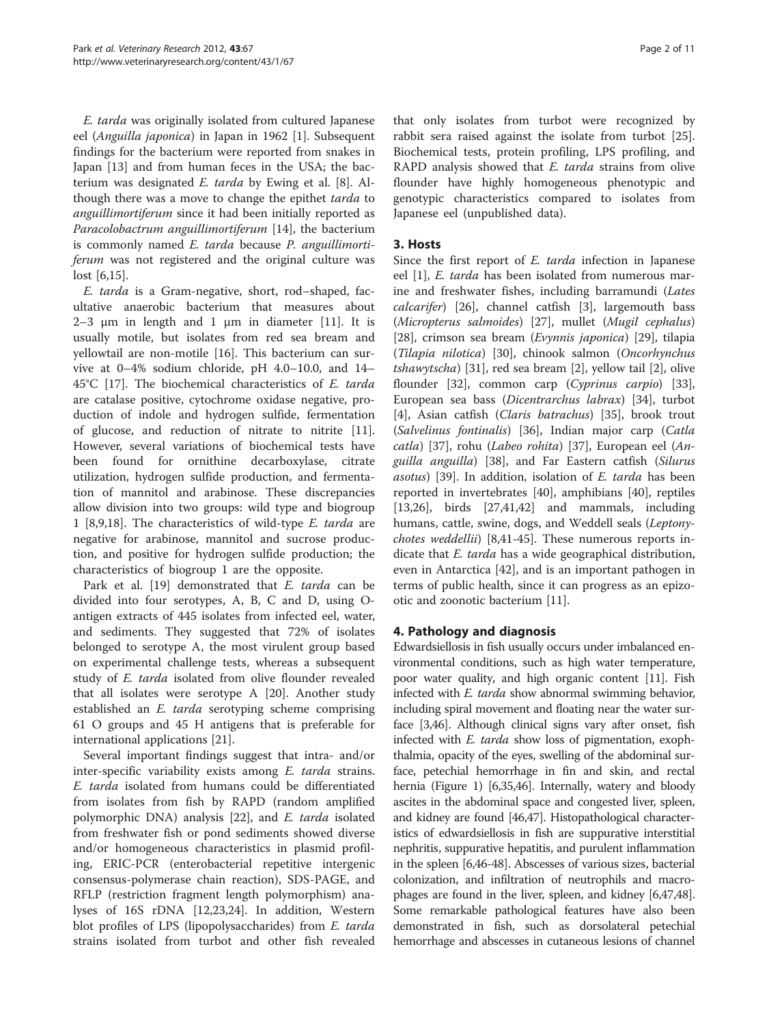E. tarda was originally isolated from cultured Japanese eel (Anguilla japonica) in Japan in 1962 [[1\]](#page-7-0). Subsequent findings for the bacterium were reported from snakes in Japan [\[13](#page-7-0)] and from human feces in the USA; the bacterium was designated E. tarda by Ewing et al. [\[8](#page-7-0)]. Although there was a move to change the epithet tarda to anguillimortiferum since it had been initially reported as Paracolobactrum anguillimortiferum [[14\]](#page-7-0), the bacterium is commonly named E. tarda because P. anguillimortiferum was not registered and the original culture was lost [\[6,15](#page-7-0)].

E. tarda is a Gram-negative, short, rod–shaped, facultative anaerobic bacterium that measures about 2–3 μm in length and 1 μm in diameter [\[11](#page-7-0)]. It is usually motile, but isolates from red sea bream and yellowtail are non-motile [[16\]](#page-7-0). This bacterium can survive at 0–4% sodium chloride, pH 4.0–10.0, and 14– 45°C [[17\]](#page-7-0). The biochemical characteristics of E. tarda are catalase positive, cytochrome oxidase negative, production of indole and hydrogen sulfide, fermentation of glucose, and reduction of nitrate to nitrite [\[11](#page-7-0)]. However, several variations of biochemical tests have been found for ornithine decarboxylase, citrate utilization, hydrogen sulfide production, and fermentation of mannitol and arabinose. These discrepancies allow division into two groups: wild type and biogroup 1 [[8,9,18\]](#page-7-0). The characteristics of wild-type E. tarda are negative for arabinose, mannitol and sucrose production, and positive for hydrogen sulfide production; the characteristics of biogroup 1 are the opposite.

Park et al. [\[19\]](#page-7-0) demonstrated that E. tarda can be divided into four serotypes, A, B, C and D, using Oantigen extracts of 445 isolates from infected eel, water, and sediments. They suggested that 72% of isolates belonged to serotype A, the most virulent group based on experimental challenge tests, whereas a subsequent study of *E. tarda* isolated from olive flounder revealed that all isolates were serotype A [[20](#page-7-0)]. Another study established an *E. tarda* serotyping scheme comprising 61 O groups and 45 H antigens that is preferable for international applications [[21\]](#page-7-0).

Several important findings suggest that intra- and/or inter-specific variability exists among E. tarda strains. E. tarda isolated from humans could be differentiated from isolates from fish by RAPD (random amplified polymorphic DNA) analysis [[22\]](#page-7-0), and E. tarda isolated from freshwater fish or pond sediments showed diverse and/or homogeneous characteristics in plasmid profiling, ERIC-PCR (enterobacterial repetitive intergenic consensus-polymerase chain reaction), SDS-PAGE, and RFLP (restriction fragment length polymorphism) analyses of 16S rDNA [[12,](#page-7-0)[23,24\]](#page-8-0). In addition, Western blot profiles of LPS (lipopolysaccharides) from *E. tarda* strains isolated from turbot and other fish revealed

that only isolates from turbot were recognized by rabbit sera raised against the isolate from turbot [\[25](#page-8-0)]. Biochemical tests, protein profiling, LPS profiling, and RAPD analysis showed that E. tarda strains from olive flounder have highly homogeneous phenotypic and genotypic characteristics compared to isolates from Japanese eel (unpublished data).

# 3. Hosts

Since the first report of E. tarda infection in Japanese eel [\[1\]](#page-7-0), *E. tarda* has been isolated from numerous marine and freshwater fishes, including barramundi (Lates calcarifer) [[26](#page-8-0)], channel catfish [[3](#page-7-0)], largemouth bass (Micropterus salmoides) [\[27](#page-8-0)], mullet (Mugil cephalus) [[28\]](#page-8-0), crimson sea bream (Evynnis japonica) [\[29](#page-8-0)], tilapia (Tilapia nilotica) [[30\]](#page-8-0), chinook salmon (Oncorhynchus tshawytscha) [\[31](#page-8-0)], red sea bream [\[2](#page-7-0)], yellow tail [\[2](#page-7-0)], olive flounder [\[32\]](#page-8-0), common carp (Cyprinus carpio) [\[33](#page-8-0)], European sea bass (Dicentrarchus labrax) [[34\]](#page-8-0), turbot [[4\]](#page-7-0), Asian catfish (Claris batrachus) [[35](#page-8-0)], brook trout (Salvelinus fontinalis) [\[36](#page-8-0)], Indian major carp (Catla catla) [\[37\]](#page-8-0), rohu (Labeo rohita) [\[37](#page-8-0)], European eel (Anguilla anguilla) [[38\]](#page-8-0), and Far Eastern catfish (Silurus asotus) [[39](#page-8-0)]. In addition, isolation of E. tarda has been reported in invertebrates [[40\]](#page-8-0), amphibians [\[40](#page-8-0)], reptiles [[13,](#page-7-0)[26\]](#page-8-0), birds [[27](#page-8-0),[41](#page-8-0),[42](#page-8-0)] and mammals, including humans, cattle, swine, dogs, and Weddell seals (Leptonychotes weddellii) [\[8](#page-7-0)[,41](#page-8-0)-[45\]](#page-8-0). These numerous reports indicate that *E. tarda* has a wide geographical distribution, even in Antarctica [[42\]](#page-8-0), and is an important pathogen in terms of public health, since it can progress as an epizootic and zoonotic bacterium [\[11](#page-7-0)].

# 4. Pathology and diagnosis

Edwardsiellosis in fish usually occurs under imbalanced environmental conditions, such as high water temperature, poor water quality, and high organic content [[11](#page-7-0)]. Fish infected with E. tarda show abnormal swimming behavior, including spiral movement and floating near the water surface [\[3,](#page-7-0)[46](#page-8-0)]. Although clinical signs vary after onset, fish infected with *E. tarda* show loss of pigmentation, exophthalmia, opacity of the eyes, swelling of the abdominal surface, petechial hemorrhage in fin and skin, and rectal hernia (Figure [1\)](#page-2-0) [\[6](#page-7-0)[,35,46](#page-8-0)]. Internally, watery and bloody ascites in the abdominal space and congested liver, spleen, and kidney are found [[46,47\]](#page-8-0). Histopathological characteristics of edwardsiellosis in fish are suppurative interstitial nephritis, suppurative hepatitis, and purulent inflammation in the spleen [\[6](#page-7-0)[,46-48](#page-8-0)]. Abscesses of various sizes, bacterial colonization, and infiltration of neutrophils and macrophages are found in the liver, spleen, and kidney [[6](#page-7-0)[,47,48](#page-8-0)]. Some remarkable pathological features have also been demonstrated in fish, such as dorsolateral petechial hemorrhage and abscesses in cutaneous lesions of channel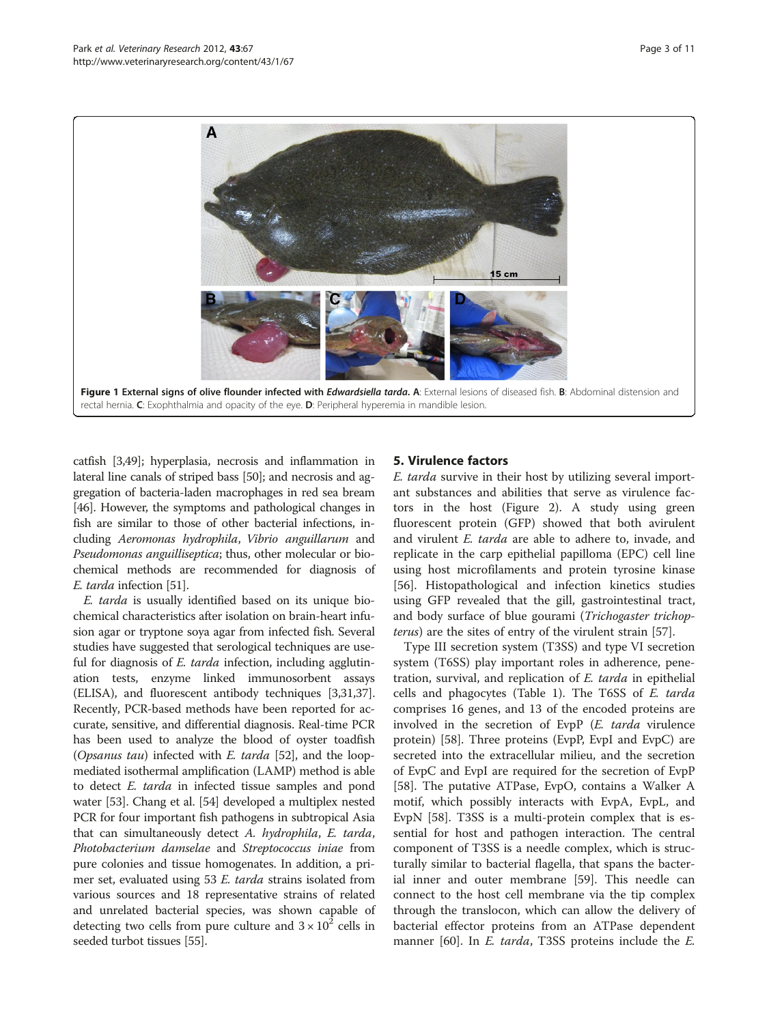<span id="page-2-0"></span>

catfish [\[3,](#page-7-0)[49](#page-8-0)]; hyperplasia, necrosis and inflammation in lateral line canals of striped bass [[50](#page-8-0)]; and necrosis and aggregation of bacteria-laden macrophages in red sea bream [[46](#page-8-0)]. However, the symptoms and pathological changes in fish are similar to those of other bacterial infections, including Aeromonas hydrophila, Vibrio anguillarum and Pseudomonas anguilliseptica; thus, other molecular or biochemical methods are recommended for diagnosis of E. tarda infection [[51](#page-8-0)].

E. tarda is usually identified based on its unique biochemical characteristics after isolation on brain-heart infusion agar or tryptone soya agar from infected fish. Several studies have suggested that serological techniques are useful for diagnosis of  $E$ , tarda infection, including agglutination tests, enzyme linked immunosorbent assays (ELISA), and fluorescent antibody techniques [\[3](#page-7-0)[,31,37](#page-8-0)]. Recently, PCR-based methods have been reported for accurate, sensitive, and differential diagnosis. Real-time PCR has been used to analyze the blood of oyster toadfish (*Opsanus tau*) infected with  $E$ . tarda [[52\]](#page-8-0), and the loopmediated isothermal amplification (LAMP) method is able to detect E. tarda in infected tissue samples and pond water [[53\]](#page-8-0). Chang et al. [\[54\]](#page-8-0) developed a multiplex nested PCR for four important fish pathogens in subtropical Asia that can simultaneously detect A. hydrophila, E. tarda, Photobacterium damselae and Streptococcus iniae from pure colonies and tissue homogenates. In addition, a primer set, evaluated using 53 E. tarda strains isolated from various sources and 18 representative strains of related and unrelated bacterial species, was shown capable of detecting two cells from pure culture and  $3 \times 10^2$  cells in seeded turbot tissues [[55](#page-8-0)].

# 5. Virulence factors

E. tarda survive in their host by utilizing several important substances and abilities that serve as virulence factors in the host (Figure [2\)](#page-3-0). A study using green fluorescent protein (GFP) showed that both avirulent and virulent E. tarda are able to adhere to, invade, and replicate in the carp epithelial papilloma (EPC) cell line using host microfilaments and protein tyrosine kinase [[56\]](#page-8-0). Histopathological and infection kinetics studies using GFP revealed that the gill, gastrointestinal tract, and body surface of blue gourami (Trichogaster trichopterus) are the sites of entry of the virulent strain [\[57\]](#page-8-0).

Type ІІІ secretion system (T3SS) and type VІ secretion system (T6SS) play important roles in adherence, penetration, survival, and replication of E. tarda in epithelial cells and phagocytes (Table [1\)](#page-4-0). The T6SS of E. tarda comprises 16 genes, and 13 of the encoded proteins are involved in the secretion of EvpP (E. tarda virulence protein) [\[58](#page-8-0)]. Three proteins (EvpP, EvpI and EvpC) are secreted into the extracellular milieu, and the secretion of EvpC and EvpI are required for the secretion of EvpP [[58\]](#page-8-0). The putative ATPase, EvpO, contains a Walker A motif, which possibly interacts with EvpA, EvpL, and EvpN [\[58](#page-8-0)]. T3SS is a multi-protein complex that is essential for host and pathogen interaction. The central component of T3SS is a needle complex, which is structurally similar to bacterial flagella, that spans the bacterial inner and outer membrane [[59](#page-8-0)]. This needle can connect to the host cell membrane via the tip complex through the translocon, which can allow the delivery of bacterial effector proteins from an ATPase dependent manner [[60](#page-8-0)]. In *E. tarda*, T3SS proteins include the *E*.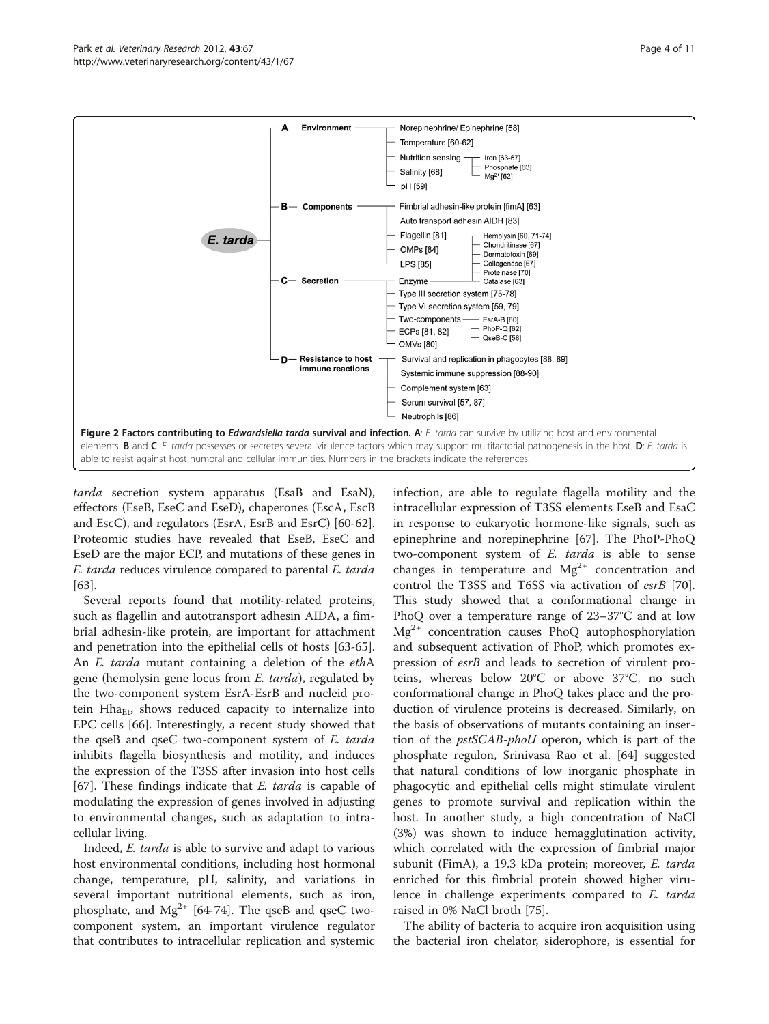<span id="page-3-0"></span>

tarda secretion system apparatus (EsaB and EsaN), effectors (EseB, EseC and EseD), chaperones (EscA, EscB and EscC), and regulators (EsrA, EsrB and EsrC) [\[60-62](#page-8-0)]. Proteomic studies have revealed that EseB, EseC and EseD are the major ECP, and mutations of these genes in E. tarda reduces virulence compared to parental E. tarda [[63\]](#page-8-0).

Several reports found that motility-related proteins, such as flagellin and autotransport adhesin AIDA, a fimbrial adhesin-like protein, are important for attachment and penetration into the epithelial cells of hosts [\[63-65](#page-8-0)]. An E. tarda mutant containing a deletion of the ethA gene (hemolysin gene locus from E. tarda), regulated by the two-component system EsrA-EsrB and nucleid protein  $Hh$ a<sub>Et</sub>, shows reduced capacity to internalize into EPC cells [\[66](#page-8-0)]. Interestingly, a recent study showed that the qseB and qseC two-component system of E. tarda inhibits flagella biosynthesis and motility, and induces the expression of the T3SS after invasion into host cells [[67\]](#page-8-0). These findings indicate that *E. tarda* is capable of modulating the expression of genes involved in adjusting to environmental changes, such as adaptation to intracellular living.

Indeed, E. tarda is able to survive and adapt to various host environmental conditions, including host hormonal change, temperature, pH, salinity, and variations in several important nutritional elements, such as iron, phosphate, and  $Mg^{2+}$  [[64](#page-8-0)[-74\]](#page-9-0). The qseB and qseC twocomponent system, an important virulence regulator that contributes to intracellular replication and systemic

infection, are able to regulate flagella motility and the intracellular expression of T3SS elements EseB and EsaC in response to eukaryotic hormone-like signals, such as epinephrine and norepinephrine [[67\]](#page-8-0). The PhoP-PhoQ two-component system of  $E$ . tarda is able to sense changes in temperature and  $Mg^{2+}$  concentration and control the T3SS and T6SS via activation of esrB [\[70](#page-8-0)]. This study showed that a conformational change in PhoQ over a temperature range of 23–37°C and at low  $Mg^{2+}$  concentration causes PhoQ autophosphorylation and subsequent activation of PhoP, which promotes expression of esrB and leads to secretion of virulent proteins, whereas below 20°C or above 37°C, no such conformational change in PhoQ takes place and the production of virulence proteins is decreased. Similarly, on the basis of observations of mutants containing an insertion of the pstSCAB-phoU operon, which is part of the phosphate regulon, Srinivasa Rao et al. [\[64\]](#page-8-0) suggested that natural conditions of low inorganic phosphate in phagocytic and epithelial cells might stimulate virulent genes to promote survival and replication within the host. In another study, a high concentration of NaCl (3%) was shown to induce hemagglutination activity, which correlated with the expression of fimbrial major subunit (FimA), a 19.3 kDa protein; moreover, E. tarda enriched for this fimbrial protein showed higher virulence in challenge experiments compared to E. tarda raised in 0% NaCl broth [[75\]](#page-9-0).

The ability of bacteria to acquire iron acquisition using the bacterial iron chelator, siderophore, is essential for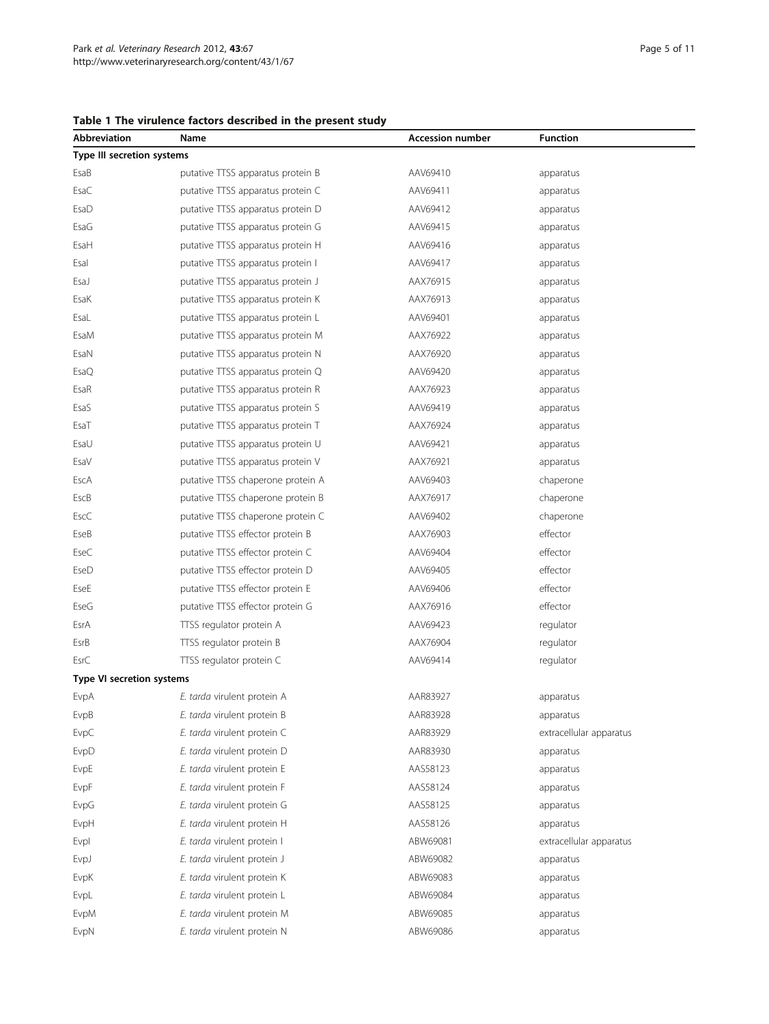<span id="page-4-0"></span>

| Abbreviation                      | <b>THE MURDER MOOD ACSING IN THE PICSER STAM</b><br>Name | <b>Accession number</b> | <b>Function</b>         |  |  |  |  |  |
|-----------------------------------|----------------------------------------------------------|-------------------------|-------------------------|--|--|--|--|--|
| <b>Type III secretion systems</b> |                                                          |                         |                         |  |  |  |  |  |
| EsaB                              | putative TTSS apparatus protein B                        | AAV69410                | apparatus               |  |  |  |  |  |
| EsaC                              | putative TTSS apparatus protein C                        | AAV69411                | apparatus               |  |  |  |  |  |
| EsaD                              | putative TTSS apparatus protein D                        | AAV69412                | apparatus               |  |  |  |  |  |
| EsaG                              | putative TTSS apparatus protein G                        | AAV69415                | apparatus               |  |  |  |  |  |
| EsaH                              | putative TTSS apparatus protein H                        | AAV69416                | apparatus               |  |  |  |  |  |
| Esal                              | putative TTSS apparatus protein I                        | AAV69417                | apparatus               |  |  |  |  |  |
| EsaJ                              | putative TTSS apparatus protein J                        | AAX76915                | apparatus               |  |  |  |  |  |
| EsaK                              | putative TTSS apparatus protein K                        | AAX76913                | apparatus               |  |  |  |  |  |
| EsaL                              | putative TTSS apparatus protein L                        | AAV69401                | apparatus               |  |  |  |  |  |
| EsaM                              | putative TTSS apparatus protein M                        | AAX76922                | apparatus               |  |  |  |  |  |
| EsaN                              | putative TTSS apparatus protein N                        | AAX76920                | apparatus               |  |  |  |  |  |
| EsaQ                              | putative TTSS apparatus protein Q                        | AAV69420                | apparatus               |  |  |  |  |  |
| EsaR                              | putative TTSS apparatus protein R                        | AAX76923                | apparatus               |  |  |  |  |  |
| EsaS                              | putative TTSS apparatus protein S                        | AAV69419                | apparatus               |  |  |  |  |  |
| EsaT                              | putative TTSS apparatus protein T                        | AAX76924                | apparatus               |  |  |  |  |  |
| EsaU                              | putative TTSS apparatus protein U                        | AAV69421                | apparatus               |  |  |  |  |  |
| EsaV                              | putative TTSS apparatus protein V                        | AAX76921                | apparatus               |  |  |  |  |  |
| EscA                              | putative TTSS chaperone protein A                        | AAV69403                | chaperone               |  |  |  |  |  |
| EscB                              | putative TTSS chaperone protein B                        | AAX76917                | chaperone               |  |  |  |  |  |
| EscC                              | putative TTSS chaperone protein C                        | AAV69402                | chaperone               |  |  |  |  |  |
| EseB                              | putative TTSS effector protein B                         | AAX76903                | effector                |  |  |  |  |  |
| EseC                              | putative TTSS effector protein C                         | AAV69404                | effector                |  |  |  |  |  |
| EseD                              | putative TTSS effector protein D                         | AAV69405                | effector                |  |  |  |  |  |
| EseE                              | putative TTSS effector protein E                         | AAV69406                | effector                |  |  |  |  |  |
| EseG                              | putative TTSS effector protein G                         | AAX76916                | effector                |  |  |  |  |  |
| EsrA                              | TTSS regulator protein A                                 | AAV69423                | regulator               |  |  |  |  |  |
| EsrB                              | TTSS regulator protein B                                 | AAX76904                | regulator               |  |  |  |  |  |
| EsrC                              | TTSS regulator protein C                                 | AAV69414                | regulator               |  |  |  |  |  |
| <b>Type VI secretion systems</b>  |                                                          |                         |                         |  |  |  |  |  |
| EvpA                              | E. tarda virulent protein A                              | AAR83927                | apparatus               |  |  |  |  |  |
| EvpB                              | E. tarda virulent protein B                              | AAR83928                | apparatus               |  |  |  |  |  |
| <b>EvpC</b>                       | E. tarda virulent protein C                              | AAR83929                | extracellular apparatus |  |  |  |  |  |
| EvpD                              | E. tarda virulent protein D                              | AAR83930                | apparatus               |  |  |  |  |  |
| EvpE                              | E. tarda virulent protein E                              | AAS58123                | apparatus               |  |  |  |  |  |
| EvpF                              | E. tarda virulent protein F                              | AAS58124                | apparatus               |  |  |  |  |  |
| EvpG                              | E. tarda virulent protein G                              | AAS58125                | apparatus               |  |  |  |  |  |
| EvpH                              | E. tarda virulent protein H                              | AAS58126                | apparatus               |  |  |  |  |  |
| Evpl                              | E. tarda virulent protein I                              | ABW69081                | extracellular apparatus |  |  |  |  |  |
| EvpJ                              | E. tarda virulent protein J                              | ABW69082                | apparatus               |  |  |  |  |  |
| EvpK                              | E. tarda virulent protein K                              | ABW69083                | apparatus               |  |  |  |  |  |
| EvpL                              | E. tarda virulent protein L                              | ABW69084                | apparatus               |  |  |  |  |  |
| EvpM                              | E. tarda virulent protein M                              | ABW69085                | apparatus               |  |  |  |  |  |
| EvpN                              | E. tarda virulent protein N                              | ABW69086                | apparatus               |  |  |  |  |  |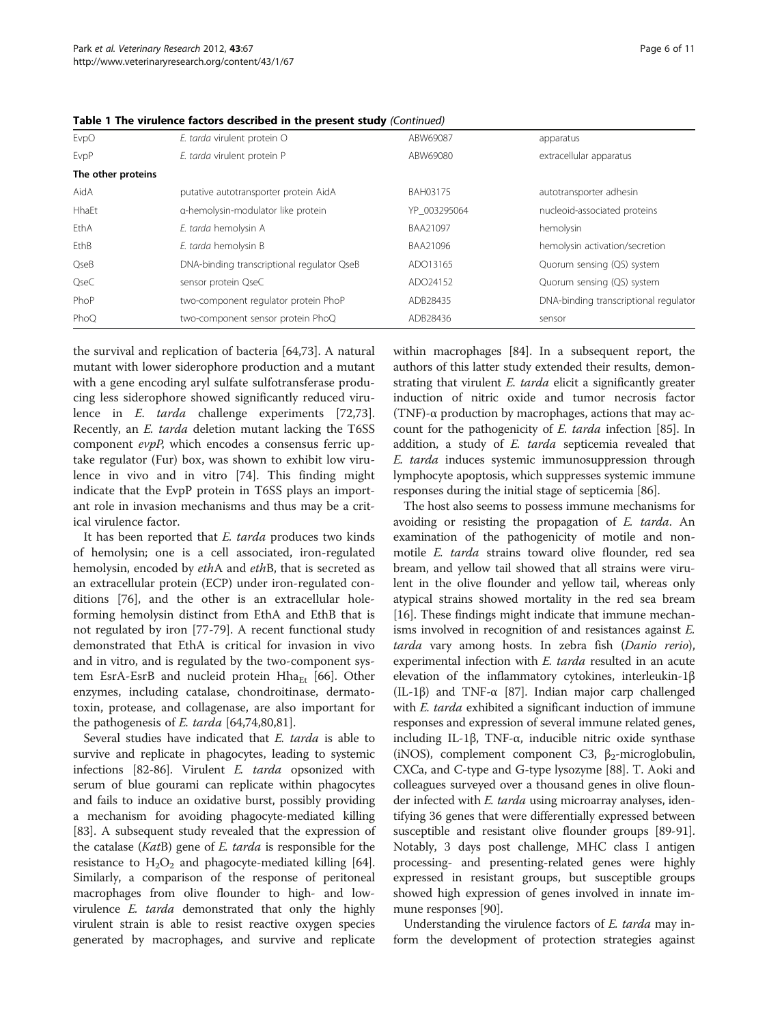| E. tarda virulent protein O                | ABW69087     | apparatus                             |  |  |  |  |  |  |  |
|--------------------------------------------|--------------|---------------------------------------|--|--|--|--|--|--|--|
| E. tarda virulent protein P                | ABW69080     | extracellular apparatus               |  |  |  |  |  |  |  |
| The other proteins                         |              |                                       |  |  |  |  |  |  |  |
| putative autotransporter protein AidA      | BAH03175     | autotransporter adhesin               |  |  |  |  |  |  |  |
| a-hemolysin-modulator like protein         | YP 003295064 | nucleoid-associated proteins          |  |  |  |  |  |  |  |
| E. tarda hemolysin A                       | BAA21097     | hemolysin                             |  |  |  |  |  |  |  |
| E. tarda hemolysin B                       | BAA21096     | hemolysin activation/secretion        |  |  |  |  |  |  |  |
| DNA-binding transcriptional regulator QseB | ADO13165     | Quorum sensing (QS) system            |  |  |  |  |  |  |  |
| sensor protein QseC                        | ADO24152     | Quorum sensing (QS) system            |  |  |  |  |  |  |  |
| two-component regulator protein PhoP       | ADB28435     | DNA-binding transcriptional regulator |  |  |  |  |  |  |  |
| two-component sensor protein PhoQ          | ADB28436     | sensor                                |  |  |  |  |  |  |  |
|                                            |              |                                       |  |  |  |  |  |  |  |

Table 1 The virulence factors described in the present study (Continued)

the survival and replication of bacteria [\[64](#page-8-0)[,73](#page-9-0)]. A natural mutant with lower siderophore production and a mutant with a gene encoding aryl sulfate sulfotransferase producing less siderophore showed significantly reduced virulence in E. tarda challenge experiments [\[72,73](#page-9-0)]. Recently, an E. tarda deletion mutant lacking the T6SS component evpP, which encodes a consensus ferric uptake regulator (Fur) box, was shown to exhibit low virulence in vivo and in vitro [[74](#page-9-0)]. This finding might indicate that the EvpP protein in T6SS plays an important role in invasion mechanisms and thus may be a critical virulence factor.

It has been reported that *E. tarda* produces two kinds of hemolysin; one is a cell associated, iron-regulated hemolysin, encoded by ethA and ethB, that is secreted as an extracellular protein (ECP) under iron-regulated conditions [[76\]](#page-9-0), and the other is an extracellular holeforming hemolysin distinct from EthA and EthB that is not regulated by iron [\[77-79](#page-9-0)]. A recent functional study demonstrated that EthA is critical for invasion in vivo and in vitro, and is regulated by the two-component system EsrA-EsrB and nucleid protein Hha $_{Et}$  [\[66](#page-8-0)]. Other enzymes, including catalase, chondroitinase, dermatotoxin, protease, and collagenase, are also important for the pathogenesis of E. tarda [\[64](#page-8-0)[,74,80,81\]](#page-9-0).

Several studies have indicated that E. tarda is able to survive and replicate in phagocytes, leading to systemic infections [[82-86\]](#page-9-0). Virulent E. tarda opsonized with serum of blue gourami can replicate within phagocytes and fails to induce an oxidative burst, possibly providing a mechanism for avoiding phagocyte-mediated killing [[83](#page-9-0)]. A subsequent study revealed that the expression of the catalase (KatB) gene of E. tarda is responsible for the resistance to  $H_2O_2$  and phagocyte-mediated killing [[64](#page-8-0)]. Similarly, a comparison of the response of peritoneal macrophages from olive flounder to high- and lowvirulence E. tarda demonstrated that only the highly virulent strain is able to resist reactive oxygen species generated by macrophages, and survive and replicate within macrophages [\[84\]](#page-9-0). In a subsequent report, the authors of this latter study extended their results, demonstrating that virulent E. tarda elicit a significantly greater induction of nitric oxide and tumor necrosis factor (TNF)-α production by macrophages, actions that may account for the pathogenicity of *E. tarda* infection [\[85](#page-9-0)]. In addition, a study of E. tarda septicemia revealed that E. tarda induces systemic immunosuppression through lymphocyte apoptosis, which suppresses systemic immune responses during the initial stage of septicemia [[86](#page-9-0)].

The host also seems to possess immune mechanisms for avoiding or resisting the propagation of E. tarda. An examination of the pathogenicity of motile and nonmotile E. tarda strains toward olive flounder, red sea bream, and yellow tail showed that all strains were virulent in the olive flounder and yellow tail, whereas only atypical strains showed mortality in the red sea bream [[16](#page-7-0)]. These findings might indicate that immune mechanisms involved in recognition of and resistances against E. tarda vary among hosts. In zebra fish (Danio rerio), experimental infection with *E. tarda* resulted in an acute elevation of the inflammatory cytokines, interleukin-1β (IL-1β) and TNF-α [[87](#page-9-0)]. Indian major carp challenged with *E. tarda* exhibited a significant induction of immune responses and expression of several immune related genes, including IL-1β, TNF-α, inducible nitric oxide synthase (iNOS), complement component C3,  $\beta_2$ -microglobulin, CXCa, and C-type and G-type lysozyme [\[88\]](#page-9-0). T. Aoki and colleagues surveyed over a thousand genes in olive flounder infected with *E. tarda* using microarray analyses, identifying 36 genes that were differentially expressed between susceptible and resistant olive flounder groups [[89](#page-9-0)-[91](#page-9-0)]. Notably, 3 days post challenge, MHC class I antigen processing- and presenting-related genes were highly expressed in resistant groups, but susceptible groups showed high expression of genes involved in innate immune responses [[90](#page-9-0)].

Understanding the virulence factors of E. tarda may inform the development of protection strategies against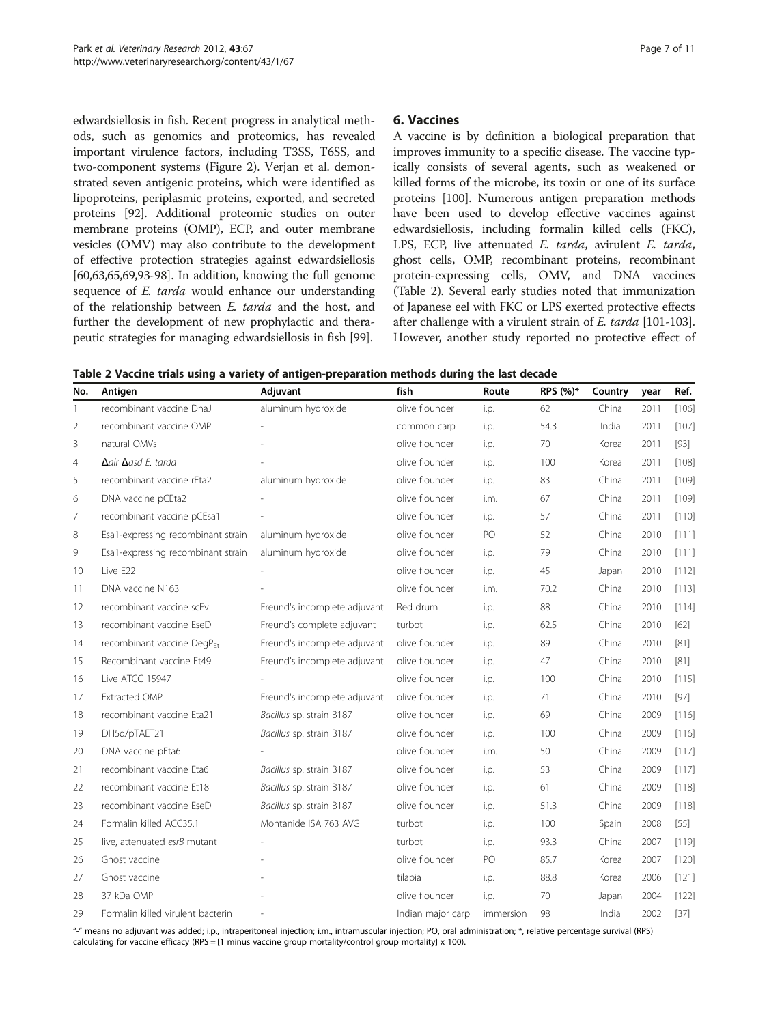<span id="page-6-0"></span>edwardsiellosis in fish. Recent progress in analytical methods, such as genomics and proteomics, has revealed important virulence factors, including T3SS, T6SS, and two-component systems (Figure [2](#page-3-0)). Verjan et al. demonstrated seven antigenic proteins, which were identified as lipoproteins, periplasmic proteins, exported, and secreted proteins [\[92\]](#page-9-0). Additional proteomic studies on outer membrane proteins (OMP), ECP, and outer membrane vesicles (OMV) may also contribute to the development of effective protection strategies against edwardsiellosis [[60,63,65,69](#page-8-0),[93](#page-9-0)-[98](#page-9-0)]. In addition, knowing the full genome sequence of *E. tarda* would enhance our understanding of the relationship between E. tarda and the host, and further the development of new prophylactic and therapeutic strategies for managing edwardsiellosis in fish [[99\]](#page-9-0).

## 6. Vaccines

A vaccine is by definition a biological preparation that improves immunity to a specific disease. The vaccine typically consists of several agents, such as weakened or killed forms of the microbe, its toxin or one of its surface proteins [[100](#page-9-0)]. Numerous antigen preparation methods have been used to develop effective vaccines against edwardsiellosis, including formalin killed cells (FKC), LPS, ECP, live attenuated E. tarda, avirulent E. tarda, ghost cells, OMP, recombinant proteins, recombinant protein-expressing cells, OMV, and DNA vaccines (Table 2). Several early studies noted that immunization of Japanese eel with FKC or LPS exerted protective effects after challenge with a virulent strain of E. tarda [\[101-103](#page-9-0)]. However, another study reported no protective effect of

Table 2 Vaccine trials using a variety of antigen-preparation methods during the last decade

| No.            | Antigen                            | Adjuvant                     | fish              | Route     | RPS (%)* | Country | year | Ref.   |
|----------------|------------------------------------|------------------------------|-------------------|-----------|----------|---------|------|--------|
| $\mathbf{1}$   | recombinant vaccine DnaJ           | aluminum hydroxide           | olive flounder    | i.p.      | 62       | China   | 2011 | [106]  |
| $\overline{2}$ | recombinant vaccine OMP            |                              | common carp       | i.p.      | 54.3     | India   | 2011 | [107]  |
| 3              | natural OMVs                       |                              | olive flounder    | i.p.      | 70       | Korea   | 2011 | $[93]$ |
| 4              | $\Delta$ alr $\Delta$ asd E. tarda |                              | olive flounder    | i.p.      | 100      | Korea   | 2011 | [108]  |
| 5              | recombinant vaccine rEta2          | aluminum hydroxide           | olive flounder    | i.p.      | 83       | China   | 2011 | [109]  |
| 6              | DNA vaccine pCEta2                 |                              | olive flounder    | i.m.      | 67       | China   | 2011 | [109]  |
| 7              | recombinant vaccine pCEsa1         |                              | olive flounder    | i.p.      | 57       | China   | 2011 | [110]  |
| 8              | Esa1-expressing recombinant strain | aluminum hydroxide           | olive flounder    | PO        | 52       | China   | 2010 | [111]  |
| 9              | Esa1-expressing recombinant strain | aluminum hydroxide           | olive flounder    | i.p.      | 79       | China   | 2010 | [111]  |
| 10             | Live E22                           |                              | olive flounder    | i.p.      | 45       | Japan   | 2010 | [112]  |
| 11             | DNA vaccine N163                   |                              | olive flounder    | i.m.      | 70.2     | China   | 2010 | [113]  |
| 12             | recombinant vaccine scFv           | Freund's incomplete adjuvant | Red drum          | i.p.      | 88       | China   | 2010 | [114]  |
| 13             | recombinant vaccine EseD           | Freund's complete adjuvant   | turbot            | i.p.      | 62.5     | China   | 2010 | [62]   |
| 14             | recombinant vaccine DegPEt         | Freund's incomplete adjuvant | olive flounder    | i.p.      | 89       | China   | 2010 | $[81]$ |
| 15             | Recombinant vaccine Et49           | Freund's incomplete adjuvant | olive flounder    | i.p.      | 47       | China   | 2010 | $[81]$ |
| 16             | Live ATCC 15947                    |                              | olive flounder    | i.p.      | 100      | China   | 2010 | [115]  |
| 17             | <b>Extracted OMP</b>               | Freund's incomplete adjuvant | olive flounder    | i.p.      | 71       | China   | 2010 | $[97]$ |
| 18             | recombinant vaccine Eta21          | Bacillus sp. strain B187     | olive flounder    | i.p.      | 69       | China   | 2009 | [116]  |
| 19             | DH5a/pTAET21                       | Bacillus sp. strain B187     | olive flounder    | i.p.      | 100      | China   | 2009 | [116]  |
| 20             | DNA vaccine pEta6                  |                              | olive flounder    | i.m.      | 50       | China   | 2009 | [117]  |
| 21             | recombinant vaccine Eta6           | Bacillus sp. strain B187     | olive flounder    | i.p.      | 53       | China   | 2009 | [117]  |
| 22             | recombinant vaccine Et18           | Bacillus sp. strain B187     | olive flounder    | i.p.      | 61       | China   | 2009 | [118]  |
| 23             | recombinant vaccine EseD           | Bacillus sp. strain B187     | olive flounder    | i.p.      | 51.3     | China   | 2009 | [118]  |
| 24             | Formalin killed ACC35.1            | Montanide ISA 763 AVG        | turbot            | i.p.      | 100      | Spain   | 2008 | $[55]$ |
| 25             | live, attenuated esrB mutant       |                              | turbot            | i.p.      | 93.3     | China   | 2007 | [119]  |
| 26             | Ghost vaccine                      |                              | olive flounder    | PO        | 85.7     | Korea   | 2007 | [120]  |
| 27             | Ghost vaccine                      |                              | tilapia           | i.p.      | 88.8     | Korea   | 2006 | [121]  |
| 28             | 37 kDa OMP                         |                              | olive flounder    | i.p.      | 70       | Japan   | 2004 | [122]  |
| 29             | Formalin killed virulent bacterin  |                              | Indian major carp | immersion | 98       | India   | 2002 | $[37]$ |

"-" means no adjuvant was added; i.p., intraperitoneal injection; i.m., intramuscular injection; PO, oral administration; \*, relative percentage survival (RPS) calculating for vaccine efficacy (RPS = [1 minus vaccine group mortality/control group mortality] x 100).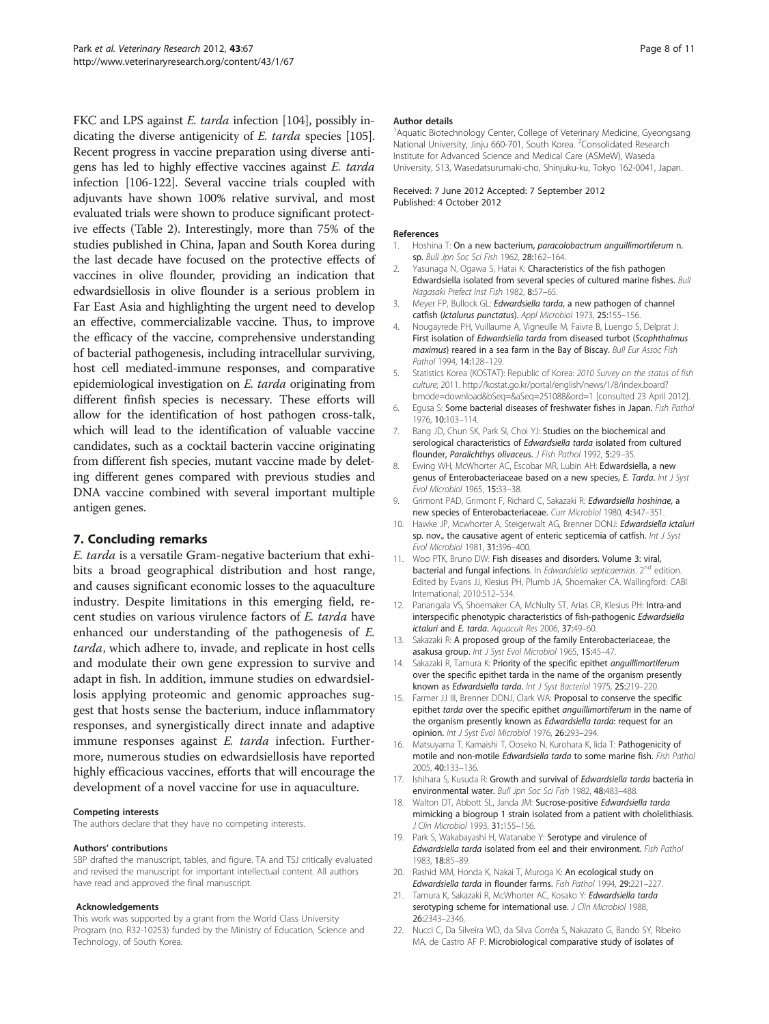<span id="page-7-0"></span>FKC and LPS against *E. tarda* infection [[104](#page-9-0)], possibly indicating the diverse antigenicity of E. tarda species [[105](#page-9-0)]. Recent progress in vaccine preparation using diverse antigens has led to highly effective vaccines against E. tarda infection [\[106-](#page-9-0)[122\]](#page-10-0). Several vaccine trials coupled with adjuvants have shown 100% relative survival, and most evaluated trials were shown to produce significant protective effects (Table [2\)](#page-6-0). Interestingly, more than 75% of the studies published in China, Japan and South Korea during the last decade have focused on the protective effects of vaccines in olive flounder, providing an indication that edwardsiellosis in olive flounder is a serious problem in Far East Asia and highlighting the urgent need to develop an effective, commercializable vaccine. Thus, to improve the efficacy of the vaccine, comprehensive understanding of bacterial pathogenesis, including intracellular surviving, host cell mediated-immune responses, and comparative epidemiological investigation on E. tarda originating from different finfish species is necessary. These efforts will allow for the identification of host pathogen cross-talk, which will lead to the identification of valuable vaccine candidates, such as a cocktail bacterin vaccine originating from different fish species, mutant vaccine made by deleting different genes compared with previous studies and DNA vaccine combined with several important multiple antigen genes.

# 7. Concluding remarks

E. tarda is a versatile Gram-negative bacterium that exhibits a broad geographical distribution and host range, and causes significant economic losses to the aquaculture industry. Despite limitations in this emerging field, recent studies on various virulence factors of E. tarda have enhanced our understanding of the pathogenesis of E. tarda, which adhere to, invade, and replicate in host cells and modulate their own gene expression to survive and adapt in fish. In addition, immune studies on edwardsiellosis applying proteomic and genomic approaches suggest that hosts sense the bacterium, induce inflammatory responses, and synergistically direct innate and adaptive immune responses against E. tarda infection. Furthermore, numerous studies on edwardsiellosis have reported highly efficacious vaccines, efforts that will encourage the development of a novel vaccine for use in aquaculture.

### Competing interests

The authors declare that they have no competing interests.

#### Authors' contributions

SBP drafted the manuscript, tables, and figure. TA and TSJ critically evaluated and revised the manuscript for important intellectual content. All authors have read and approved the final manuscript.

#### Acknowledgements

This work was supported by a grant from the World Class University Program (no. R32-10253) funded by the Ministry of Education, Science and Technology, of South Korea.

#### Author details

<sup>1</sup> Aquatic Biotechnology Center, College of Veterinary Medicine, Gyeongsang National University, Jinju 660-701, South Korea. <sup>2</sup> Consolidated Research Institute for Advanced Science and Medical Care (ASMeW), Waseda University, 513, Wasedatsurumaki-cho, Shinjuku-ku, Tokyo 162-0041, Japan.

Received: 7 June 2012 Accepted: 7 September 2012 Published: 4 October 2012

#### References

- Hoshina T: On a new bacterium, paracolobactrum anguillimortiferum n. sp. Bull Jpn Soc Sci Fish 1962, 28:162–164.
- 2. Yasunaga N, Ogawa S, Hatai K: Characteristics of the fish pathogen Edwardsiella isolated from several species of cultured marine fishes. Bull Nagasaki Prefect Inst Fish 1982, 8:57–65.
- 3. Meyer FP, Bullock GL: Edwardsiella tarda, a new pathogen of channel catfish (Ictalurus punctatus). Appl Microbiol 1973, 25:155–156.
- 4. Nougayrede PH, Vuillaume A, Vigneulle M, Faivre B, Luengo S, Delprat J: First isolation of Edwardsiella tarda from diseased turbot (Scophthalmus maximus) reared in a sea farm in the Bay of Biscay. Bull Eur Assoc Fish Pathol 1994, 14:128–129.
- 5. Statistics Korea (KOSTAT): Republic of Korea: 2010 Survey on the status of fish culture; 2011. [http://kostat.go.kr/portal/english/news/1/8/index.board?](http://kostat.go.kr/portal/english/news/1/8/index.board?bmode=download&bSeq=&aSeq=251088&ord=1) [bmode=download&bSeq=&aSeq=251088&ord=1](http://kostat.go.kr/portal/english/news/1/8/index.board?bmode=download&bSeq=&aSeq=251088&ord=1) [consulted 23 April 2012].
- 6. Egusa S: Some bacterial diseases of freshwater fishes in Japan. Fish Pathol 1976, 10:103–114.
- 7. Bang JD, Chun SK, Park SI, Choi YJ: Studies on the biochemical and serological characteristics of Edwardsiella tarda isolated from cultured flounder, Paralichthys olivaceus. J Fish Pathol 1992, 5:29–35.
- 8. Ewing WH, McWhorter AC, Escobar MR, Lubin AH: Edwardsiella, a new genus of Enterobacteriaceae based on a new species, E. Tarda. Int J Syst Evol Microbiol 1965, 15:33–38.
- 9. Grimont PAD, Grimont F, Richard C, Sakazaki R: Edwardsiella hoshinae, a new species of Enterobacteriaceae. Curr Microbiol 1980, 4:347–351.
- 10. Hawke JP, Mcwhorter A, Steigerwalt AG, Brenner DONJ: Edwardsiella ictaluri sp. nov., the causative agent of enteric septicemia of catfish. Int J Syst Evol Microbiol 1981, 31:396–400.
- 11. Woo PTK, Bruno DW: Fish diseases and disorders. Volume 3: viral, bacterial and fungal infections. In *Edwardsiella septicaemias*. 2<sup>nd</sup> edition. Edited by Evans JJ, Klesius PH, Plumb JA, Shoemaker CA. Wallingford: CABI International; 2010:512–534.
- 12. Panangala VS, Shoemaker CA, McNulty ST, Arias CR, Klesius PH: Intra-and interspecific phenotypic characteristics of fish-pathogenic Edwardsiella ictaluri and E. tarda. Aquacult Res 2006, 37:49–60.
- 13. Sakazaki R: A proposed group of the family Enterobacteriaceae, the asakusa group. Int J Syst Evol Microbiol 1965, 15:45–47.
- 14. Sakazaki R, Tamura K: Priority of the specific epithet anguillimortiferum over the specific epithet tarda in the name of the organism presently known as Edwardsiella tarda. Int J Syst Bacteriol 1975, 25:219-220.
- 15. Farmer JJ III, Brenner DONJ, Clark WA: Proposal to conserve the specific epithet tarda over the specific epithet anguillimortiferum in the name of the organism presently known as Edwardsiella tarda: request for an opinion. Int J Syst Evol Microbiol 1976, 26:293–294.
- 16. Matsuyama T, Kamaishi T, Ooseko N, Kurohara K, Iida T: Pathogenicity of motile and non-motile Edwardsiella tarda to some marine fish. Fish Pathol 2005, 40:133–136.
- 17. Ishihara S, Kusuda R: Growth and survival of Edwardsiella tarda bacteria in environmental water. Bull Jpn Soc Sci Fish 1982, 48:483–488.
- 18. Walton DT, Abbott SL, Janda JM: Sucrose-positive Edwardsiella tarda mimicking a biogroup 1 strain isolated from a patient with cholelithiasis. J Clin Microbiol 1993, 31:155–156.
- 19. Park S, Wakabayashi H, Watanabe Y: Serotype and virulence of Edwardsiella tarda isolated from eel and their environment. Fish Pathol 1983, 18:85–89.
- 20. Rashid MM, Honda K, Nakai T, Muroga K: An ecological study on Edwardsiella tarda in flounder farms. Fish Pathol 1994, 29:221–227.
- 21. Tamura K, Sakazaki R, McWhorter AC, Kosako Y: Edwardsiella tarda serotyping scheme for international use. J Clin Microbiol 1988, 26:2343–2346.
- 22. Nucci C, Da Silveira WD, da Silva Corrêa S, Nakazato G, Bando SY, Ribeiro MA, de Castro AF P: Microbiological comparative study of isolates of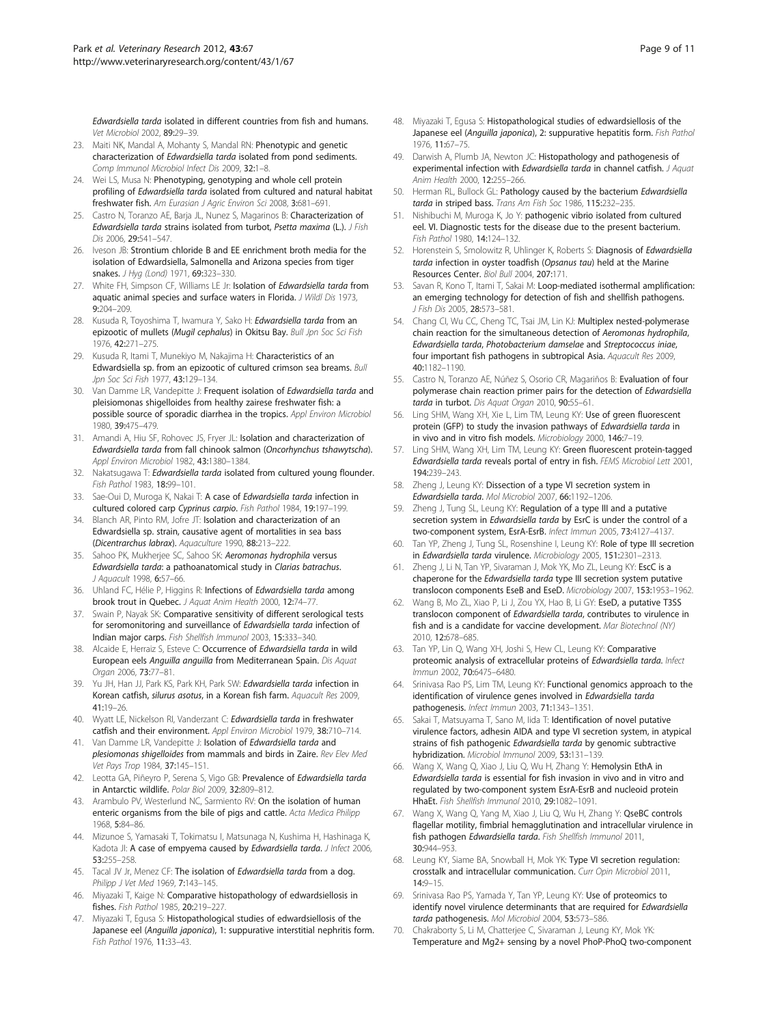<span id="page-8-0"></span>Edwardsiella tarda isolated in different countries from fish and humans. Vet Microbiol 2002, 89:29–39.

- 23. Maiti NK, Mandal A, Mohanty S, Mandal RN: Phenotypic and genetic characterization of Edwardsiella tarda isolated from pond sediments. Comp Immunol Microbiol Infect Dis 2009, 32:1–8.
- 24. Wei LS, Musa N: Phenotyping, genotyping and whole cell protein profiling of Edwardsiella tarda isolated from cultured and natural habitat freshwater fish. Am Eurasian J Agric Environ Sci 2008, 3:681–691.
- 25. Castro N, Toranzo AE, Barja JL, Nunez S, Magarinos B: Characterization of Edwardsiella tarda strains isolated from turbot, Psetta maxima (L.). J Fish Dis 2006, 29:541–547.
- 26. Iveson JB: Strontium chloride B and EE enrichment broth media for the isolation of Edwardsiella, Salmonella and Arizona species from tiger snakes. J Hyg (Lond) 1971, 69:323–330.
- 27. White FH, Simpson CF, Williams LE Jr: Isolation of Edwardsiella tarda from aquatic animal species and surface waters in Florida. J Wildl Dis 1973, 9:204–209.
- 28. Kusuda R, Toyoshima T, Iwamura Y, Sako H: Edwardsiella tarda from an epizootic of mullets (Mugil cephalus) in Okitsu Bay. Bull Jpn Soc Sci Fish 1976, 42:271–275.
- 29. Kusuda R, Itami T, Munekiyo M, Nakajima H: Characteristics of an Edwardsiella sp. from an epizootic of cultured crimson sea breams. Bull Jpn Soc Sci Fish 1977, 43:129-134.
- 30. Van Damme LR, Vandepitte J: Frequent isolation of Edwardsiella tarda and pleisiomonas shigelloides from healthy zairese freshwater fish: a possible source of sporadic diarrhea in the tropics. Appl Environ Microbiol 1980, 39:475–479.
- 31. Amandi A, Hiu SF, Rohovec JS, Fryer JL: Isolation and characterization of Edwardsiella tarda from fall chinook salmon (Oncorhynchus tshawytscha). Appl Environ Microbiol 1982, 43:1380–1384.
- 32. Nakatsugawa T: Edwardsiella tarda isolated from cultured young flounder. Fish Pathol 1983, 18:99–101.
- 33. Sae-Oui D, Muroga K, Nakai T: A case of Edwardsiella tarda infection in cultured colored carp Cyprinus carpio. Fish Pathol 1984, 19:197-199.
- 34. Blanch AR, Pinto RM, Jofre JT: Isolation and characterization of an Edwardsiella sp. strain, causative agent of mortalities in sea bass (Dicentrarchus labrax). Aquaculture 1990, 88:213–222.
- 35. Sahoo PK, Mukherjee SC, Sahoo SK: Aeromonas hydrophila versus Edwardsiella tarda: a pathoanatomical study in Clarias batrachus. J Aquacult 1998, 6:57-66.
- 36. Uhland FC, Hélie P, Higgins R: Infections of Edwardsiella tarda among brook trout in Quebec. J Aquat Anim Health 2000, 12:74–77.
- Swain P, Nayak SK: Comparative sensitivity of different serological tests for seromonitoring and surveillance of Edwardsiella tarda infection of Indian major carps. Fish Shellfish Immunol 2003, 15:333–340.
- 38. Alcaide E, Herraiz S, Esteve C: Occurrence of Edwardsiella tarda in wild European eels Anguilla anguilla from Mediterranean Spain. Dis Aquat Organ 2006, 73:77–81.
- 39. Yu JH, Han JJ, Park KS, Park KH, Park SW: Edwardsiella tarda infection in Korean catfish, silurus asotus, in a Korean fish farm. Aquacult Res 2009, 41:19–26.
- 40. Wyatt LE, Nickelson RI, Vanderzant C: Edwardsiella tarda in freshwater catfish and their environment. Appl Environ Microbiol 1979, 38:710–714.
- 41. Van Damme LR, Vandepitte J: Isolation of Edwardsiella tarda and plesiomonas shigelloides from mammals and birds in Zaire. Rev Elev Med Vet Pays Trop 1984, 37:145–151.
- 42. Leotta GA, Piñeyro P, Serena S, Vigo GB: Prevalence of Edwardsiella tarda in Antarctic wildlife. Polar Biol 2009, 32:809–812.
- 43. Arambulo PV, Westerlund NC, Sarmiento RV: On the isolation of human enteric organisms from the bile of pigs and cattle. Acta Medica Philipp 1968, 5:84–86.
- 44. Mizunoe S, Yamasaki T, Tokimatsu I, Matsunaga N, Kushima H, Hashinaga K, Kadota JI: A case of empyema caused by Edwardsiella tarda. J Infect 2006, 53:255–258.
- 45. Tacal JV Jr, Menez CF: The isolation of Edwardsiella tarda from a dog. Philipp J Vet Med 1969, 7:143–145.
- 46. Miyazaki T, Kaige N: Comparative histopathology of edwardsiellosis in fishes. Fish Pathol 1985, 20:219–227.
- 47. Miyazaki T, Egusa S: Histopathological studies of edwardsiellosis of the Japanese eel (Anguilla japonica), 1: suppurative interstitial nephritis form. Fish Pathol 1976, 11:33–43.
- 48. Miyazaki T, Egusa S: Histopathological studies of edwardsiellosis of the Japanese eel (Anguilla japonica), 2: suppurative hepatitis form. Fish Pathol 1976, 11:67–75.
- 49. Darwish A, Plumb JA, Newton JC: Histopathology and pathogenesis of experimental infection with Edwardsiella tarda in channel catfish. J Aquat Anim Health 2000, 12:255–266.
- 50. Herman RL, Bullock GL: Pathology caused by the bacterium Edwardsiella tarda in striped bass. Trans Am Fish Soc 1986, 115:232–235.
- 51. Nishibuchi M, Muroga K, Jo Y: pathogenic vibrio isolated from cultured eel. VI. Diagnostic tests for the disease due to the present bacterium. Fish Pathol 1980, 14:124–132.
- 52. Horenstein S, Smolowitz R, Uhlinger K, Roberts S: Diagnosis of Edwardsiella tarda infection in oyster toadfish (Opsanus tau) held at the Marine Resources Center. Biol Bull 2004, 207:171.
- Savan R, Kono T, Itami T, Sakai M: Loop-mediated isothermal amplification: an emerging technology for detection of fish and shellfish pathogens. J Fish Dis 2005, 28:573–581.
- 54. Chang CI, Wu CC, Cheng TC, Tsai JM, Lin KJ: Multiplex nested-polymerase chain reaction for the simultaneous detection of Aeromonas hydrophila, Edwardsiella tarda, Photobacterium damselae and Streptococcus iniae, four important fish pathogens in subtropical Asia. Aquacult Res 2009, 40:1182–1190.
- 55. Castro N, Toranzo AE, Núñez S, Osorio CR, Magariños B: Evaluation of four polymerase chain reaction primer pairs for the detection of Edwardsiella tarda in turbot. Dis Aquat Organ 2010, 90:55–61.
- 56. Ling SHM, Wang XH, Xie L, Lim TM, Leung KY: Use of green fluorescent protein (GFP) to study the invasion pathways of Edwardsiella tarda in in vivo and in vitro fish models. Microbiology 2000, 146:7–19.
- 57. Ling SHM, Wang XH, Lim TM, Leung KY: Green fluorescent protein-tagged Edwardsiella tarda reveals portal of entry in fish. FEMS Microbiol Lett 2001, 194:239–243.
- 58. Zheng J, Leung KY: Dissection of a type VI secretion system in Edwardsiella tarda. Mol Microbiol 2007, 66:1192–1206.
- 59. Zheng J, Tung SL, Leung KY: Regulation of a type III and a putative secretion system in Edwardsiella tarda by EsrC is under the control of a two-component system, EsrA-EsrB. Infect Immun 2005, 73:4127–4137.
- 60. Tan YP, Zheng J, Tung SL, Rosenshine I, Leung KY: Role of type III secretion in Edwardsiella tarda virulence. Microbiology 2005, 151:2301–2313.
- 61. Zheng J, Li N, Tan YP, Sivaraman J, Mok YK, Mo ZL, Leung KY: EscC is a chaperone for the Edwardsiella tarda type III secretion system putative translocon components EseB and EseD. Microbiology 2007, 153:1953–1962.
- 62. Wang B, Mo ZL, Xiao P, Li J, Zou YX, Hao B, Li GY: EseD, a putative T3SS translocon component of Edwardsiella tarda, contributes to virulence in fish and is a candidate for vaccine development. Mar Biotechnol (NY) 2010, 12:678–685.
- 63. Tan YP, Lin Q, Wang XH, Joshi S, Hew CL, Leung KY: Comparative proteomic analysis of extracellular proteins of Edwardsiella tarda. Infect Immun 2002, 70:6475–6480.
- 64. Srinivasa Rao PS, Lim TM, Leung KY: Functional genomics approach to the identification of virulence genes involved in Edwardsiella tarda pathogenesis. Infect Immun 2003, 71:1343–1351.
- Sakai T, Matsuyama T, Sano M, Iida T: Identification of novel putative virulence factors, adhesin AIDA and type VI secretion system, in atypical strains of fish pathogenic Edwardsiella tarda by genomic subtractive hybridization. Microbiol Immunol 2009, 53:131–139.
- 66. Wang X, Wang Q, Xiao J, Liu Q, Wu H, Zhang Y: Hemolysin EthA in Edwardsiella tarda is essential for fish invasion in vivo and in vitro and regulated by two-component system EsrA-EsrB and nucleoid protein HhaEt. Fish Shellfish Immunol 2010, 29:1082–1091.
- 67. Wang X, Wang Q, Yang M, Xiao J, Liu Q, Wu H, Zhang Y: QseBC controls flagellar motility, fimbrial hemagglutination and intracellular virulence in fish pathogen Edwardsiella tarda. Fish Shellfish Immunol 2011, 30:944–953.
- 68. Leung KY, Siame BA, Snowball H, Mok YK: Type VI secretion regulation: crosstalk and intracellular communication. Curr Opin Microbiol 2011, 14:9–15.
- 69. Srinivasa Rao PS, Yamada Y, Tan YP, Leung KY: Use of proteomics to identify novel virulence determinants that are required for Edwardsiella tarda pathogenesis. Mol Microbiol 2004, 53:573–586.
- 70. Chakraborty S, Li M, Chatterjee C, Sivaraman J, Leung KY, Mok YK: Temperature and Mg2+ sensing by a novel PhoP-PhoQ two-component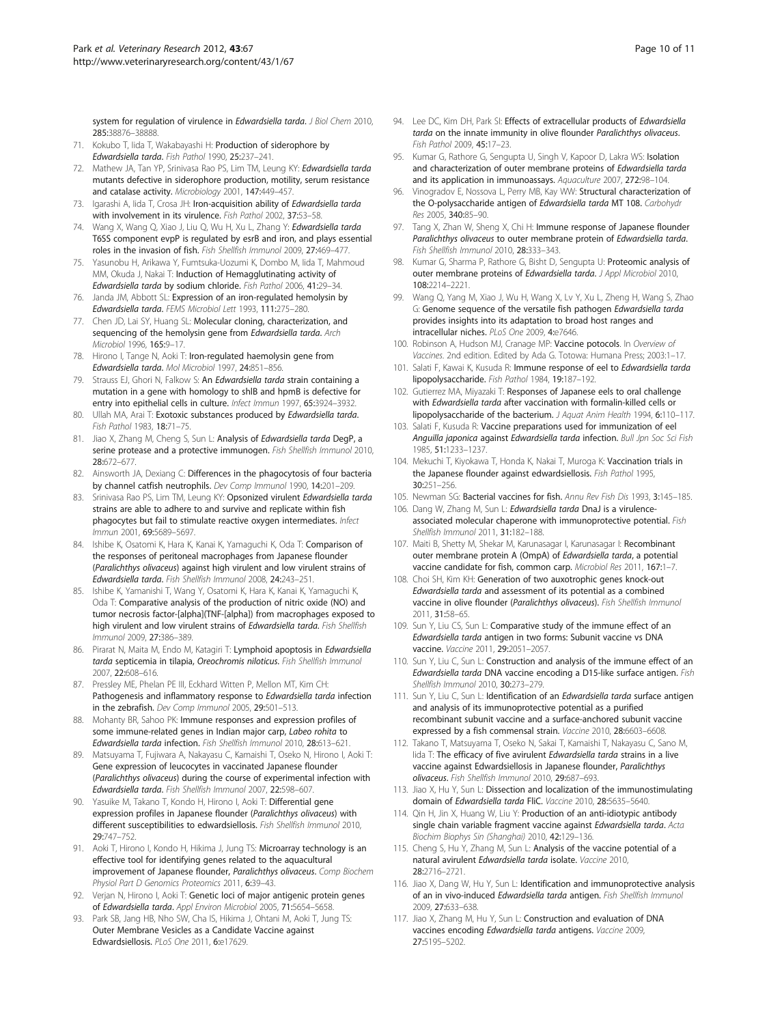<span id="page-9-0"></span>system for regulation of virulence in Edwardsiella tarda. J Biol Chem 2010, 285:38876–38888.

- 71. Kokubo T, Iida T, Wakabayashi H: Production of siderophore by Edwardsiella tarda. Fish Pathol 1990, 25:237–241.
- 72. Mathew JA, Tan YP, Srinivasa Rao PS, Lim TM, Leung KY: Edwardsiella tarda mutants defective in siderophore production, motility, serum resistance and catalase activity. Microbiology 2001, 147:449–457.
- 73. Igarashi A, Iida T, Crosa JH: Iron-acquisition ability of Edwardsiella tarda with involvement in its virulence. Fish Pathol 2002, 37:53–58.
- 74. Wang X, Wang Q, Xiao J, Liu Q, Wu H, Xu L, Zhang Y: Edwardsiella tarda T6SS component evpP is regulated by esrB and iron, and plays essential roles in the invasion of fish. Fish Shellfish Immunol 2009, 27:469–477.
- 75. Yasunobu H, Arikawa Y, Fumtsuka-Uozumi K, Dombo M, Iida T, Mahmoud MM, Okuda J, Nakai T: Induction of Hemagglutinating activity of Edwardsiella tarda by sodium chloride. Fish Pathol 2006, 41:29–34.
- 76. Janda JM, Abbott SL: Expression of an iron-regulated hemolysin by Edwardsiella tarda. FEMS Microbiol Lett 1993, 111:275–280.
- 77. Chen JD, Lai SY, Huang SL: Molecular cloning, characterization, and sequencing of the hemolysin gene from Edwardsiella tarda. Arch Microbiol 1996, 165:9–17.
- 78. Hirono I, Tange N, Aoki T: Iron-regulated haemolysin gene from Edwardsiella tarda. Mol Microbiol 1997, 24:851–856.
- 79. Strauss EJ, Ghori N, Falkow S: An Edwardsiella tarda strain containing a mutation in a gene with homology to shlB and hpmB is defective for entry into epithelial cells in culture. Infect Immun 1997, 65:3924–3932.
- 80. Ullah MA, Arai T: Exotoxic substances produced by Edwardsiella tarda. Fish Pathol 1983, 18:71–75.
- 81. Jiao X, Zhang M, Cheng S, Sun L: Analysis of Edwardsiella tarda DeqP, a serine protease and a protective immunogen. Fish Shellfish Immunol 2010, 28:672–677.
- 82. Ainsworth JA, Dexiang C: Differences in the phagocytosis of four bacteria by channel catfish neutrophils. Dev Comp Immunol 1990, 14:201–209.
- 83. Srinivasa Rao PS, Lim TM, Leung KY: Opsonized virulent Edwardsiella tarda strains are able to adhere to and survive and replicate within fish phagocytes but fail to stimulate reactive oxygen intermediates. Infect Immun 2001, 69:5689–5697.
- 84. Ishibe K, Osatomi K, Hara K, Kanai K, Yamaguchi K, Oda T: Comparison of the responses of peritoneal macrophages from Japanese flounder (Paralichthys olivaceus) against high virulent and low virulent strains of Edwardsiella tarda. Fish Shellfish Immunol 2008, 24:243–251.
- 85. Ishibe K, Yamanishi T, Wang Y, Osatomi K, Hara K, Kanai K, Yamaguchi K, Oda T: Comparative analysis of the production of nitric oxide (NO) and tumor necrosis factor-[alpha](TNF-[alpha]) from macrophages exposed to high virulent and low virulent strains of Edwardsiella tarda. Fish Shellfish Immunol 2009, 27:386–389.
- 86. Pirarat N, Maita M, Endo M, Katagiri T: Lymphoid apoptosis in Edwardsiella tarda septicemia in tilapia, Oreochromis niloticus. Fish Shellfish Immunol 2007, 22:608–616.
- 87. Pressley ME, Phelan PE III, Eckhard Witten P, Mellon MT, Kim CH: Pathogenesis and inflammatory response to Edwardsiella tarda infection in the zebrafish. Dev Comp Immunol 2005, 29:501–513.
- 88. Mohanty BR, Sahoo PK: Immune responses and expression profiles of some immune-related genes in Indian major carp, Labeo rohita to Edwardsiella tarda infection. Fish Shellfish Immunol 2010, 28:613–621.
- 89. Matsuyama T, Fujiwara A, Nakayasu C, Kamaishi T, Oseko N, Hirono I, Aoki T: Gene expression of leucocytes in vaccinated Japanese flounder (Paralichthys olivaceus) during the course of experimental infection with Edwardsiella tarda. Fish Shellfish Immunol 2007, 22:598–607.
- 90. Yasuike M, Takano T, Kondo H, Hirono I, Aoki T: Differential gene expression profiles in Japanese flounder (Paralichthys olivaceus) with different susceptibilities to edwardsiellosis. Fish Shellfish Immunol 2010, 29:747–752.
- 91. Aoki T, Hirono I, Kondo H, Hikima J, Jung TS: Microarray technology is an effective tool for identifying genes related to the aquacultural improvement of Japanese flounder, Paralichthys olivaceus. Comp Biochem Physiol Part D Genomics Proteomics 2011, 6:39–43.
- 92. Verjan N, Hirono I, Aoki T: Genetic loci of major antigenic protein genes of Edwardsiella tarda. Appl Environ Microbiol 2005, 71:5654–5658.
- 93. Park SB, Jang HB, Nho SW, Cha IS, Hikima J, Ohtani M, Aoki T, Jung TS: Outer Membrane Vesicles as a Candidate Vaccine against Edwardsiellosis. PLoS One 2011, 6:e17629.
- 94. Lee DC, Kim DH, Park SI: Effects of extracellular products of Edwardsiella tarda on the innate immunity in olive flounder Paralichthys olivaceus. Fish Pathol 2009, 45:17–23.
- 95. Kumar G, Rathore G, Sengupta U, Singh V, Kapoor D, Lakra WS: Isolation and characterization of outer membrane proteins of Edwardsiella tarda and its application in immunoassays. Aquaculture 2007, 272:98–104.
- 96. Vinogradov E, Nossova L, Perry MB, Kay WW: Structural characterization of the O-polysaccharide antigen of Edwardsiella tarda MT 108. Carbohydr Res 2005, 340:85–90.
- 97. Tang X, Zhan W, Sheng X, Chi H: Immune response of Japanese flounder Paralichthys olivaceus to outer membrane protein of Edwardsiella tarda. Fish Shellfish Immunol 2010, 28:333–343.
- Kumar G, Sharma P, Rathore G, Bisht D, Sengupta U: Proteomic analysis of outer membrane proteins of Edwardsiella tarda. J Appl Microbiol 2010, 108:2214–2221.
- 99. Wang Q, Yang M, Xiao J, Wu H, Wang X, Lv Y, Xu L, Zheng H, Wang S, Zhao G: Genome sequence of the versatile fish pathogen Edwardsiella tarda provides insights into its adaptation to broad host ranges and intracellular niches. PLoS One 2009, 4:e7646.
- 100. Robinson A, Hudson MJ, Cranage MP: Vaccine potocols. In Overview of Vaccines. 2nd edition. Edited by Ada G. Totowa: Humana Press; 2003:1–17.
- 101. Salati F, Kawai K, Kusuda R: Immune response of eel to Edwardsiella tarda lipopolysaccharide. Fish Pathol 1984, 19:187–192.
- 102. Gutierrez MA, Miyazaki T: Responses of Japanese eels to oral challenge with Edwardsiella tarda after vaccination with formalin-killed cells or lipopolysaccharide of the bacterium. J Aquat Anim Health 1994, 6:110–117.
- 103. Salati F, Kusuda R: Vaccine preparations used for immunization of eel Anguilla japonica against Edwardsiella tarda infection. Bull Jpn Soc Sci Fish 1985, 51:1233–1237.
- 104. Mekuchi T, Kiyokawa T, Honda K, Nakai T, Muroga K: Vaccination trials in the Japanese flounder against edwardsiellosis. Fish Pathol 1995, 30:251–256.
- 105. Newman SG: Bacterial vaccines for fish. Annu Rev Fish Dis 1993, 3:145–185.
- 106. Dang W, Zhang M, Sun L: Edwardsiella tarda DnaJ is a virulenceassociated molecular chaperone with immunoprotective potential. Fish Shellfish Immunol 2011, 31:182-188.
- 107. Maiti B, Shetty M, Shekar M, Karunasagar I, Karunasagar I: Recombinant outer membrane protein A (OmpA) of Edwardsiella tarda, a potential vaccine candidate for fish, common carp. Microbiol Res 2011, 167:1–7.
- 108. Choi SH, Kim KH: Generation of two auxotrophic genes knock-out Edwardsiella tarda and assessment of its potential as a combined vaccine in olive flounder (Paralichthys olivaceus). Fish Shellfish Immunol 2011, 31:58–65.
- 109. Sun Y, Liu CS, Sun L: Comparative study of the immune effect of an Edwardsiella tarda antigen in two forms: Subunit vaccine vs DNA vaccine. Vaccine 2011, 29:2051–2057.
- 110. Sun Y, Liu C, Sun L: Construction and analysis of the immune effect of an Edwardsiella tarda DNA vaccine encoding a D15-like surface antigen. Fish Shellfish Immunol 2010, 30:273–279.
- 111. Sun Y, Liu C, Sun L: Identification of an Edwardsiella tarda surface antigen and analysis of its immunoprotective potential as a purified recombinant subunit vaccine and a surface-anchored subunit vaccine expressed by a fish commensal strain. Vaccine 2010, 28:6603–6608.
- 112. Takano T, Matsuyama T, Oseko N, Sakai T, Kamaishi T, Nakayasu C, Sano M, lida T: The efficacy of five avirulent Edwardsiella tarda strains in a live vaccine against Edwardsiellosis in Japanese flounder, Paralichthys olivaceus. Fish Shellfish Immunol 2010, 29:687–693.
- 113. Jiao X, Hu Y, Sun L: Dissection and localization of the immunostimulating domain of Edwardsiella tarda FliC. Vaccine 2010, 28:5635–5640.
- 114. Qin H, Jin X, Huang W, Liu Y: Production of an anti-idiotypic antibody single chain variable fragment vaccine against Edwardsiella tarda. Acta Biochim Biophys Sin (Shanghai) 2010, 42:129–136.
- 115. Cheng S, Hu Y, Zhang M, Sun L: Analysis of the vaccine potential of a natural avirulent Edwardsiella tarda isolate. Vaccine 2010, 28:2716–2721.
- 116. Jiao X, Dang W, Hu Y, Sun L: Identification and immunoprotective analysis of an in vivo-induced Edwardsiella tarda antigen. Fish Shellfish Immunol 2009, 27:633–638.
- 117. Jiao X, Zhang M, Hu Y, Sun L: Construction and evaluation of DNA vaccines encoding Edwardsiella tarda antigens. Vaccine 2009, 27:5195–5202.